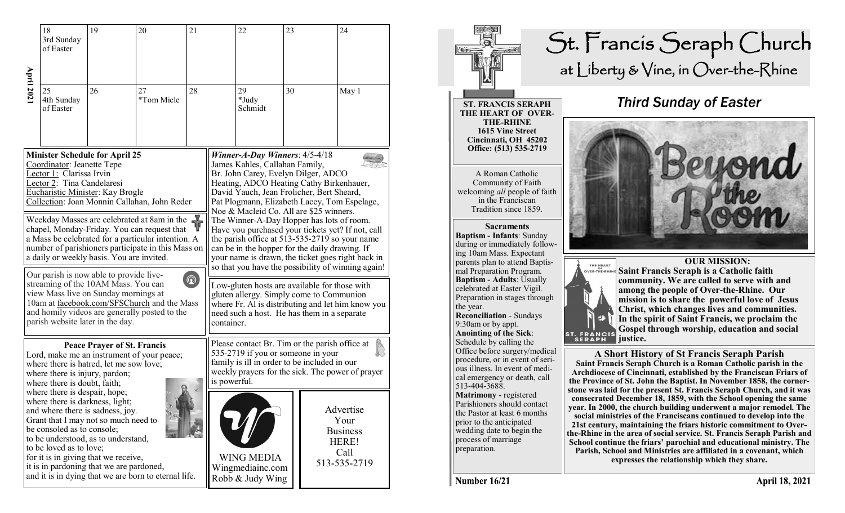|                                                    | 18<br>3rd Sunday<br>of Easter                                                                                             | 19                                                                                                                                                                                                  | 20                                                   | 21                                                 |  | 22                                                        | 23 |  | 24                                                                    |
|----------------------------------------------------|---------------------------------------------------------------------------------------------------------------------------|-----------------------------------------------------------------------------------------------------------------------------------------------------------------------------------------------------|------------------------------------------------------|----------------------------------------------------|--|-----------------------------------------------------------|----|--|-----------------------------------------------------------------------|
| <b>April 202</b>                                   | 25<br>4th Sunday<br>of Easter                                                                                             | 26                                                                                                                                                                                                  | 27<br>*Tom Miele                                     | 28                                                 |  | 29<br>*Judy<br>Schmidt                                    | 30 |  | May 1                                                                 |
| <b>Minister Schedule for April 25</b>              |                                                                                                                           |                                                                                                                                                                                                     |                                                      | Winner-A-Day Winners: $4/5-4/18$                   |  |                                                           |    |  |                                                                       |
| Coordinator: Jeanette Tepe                         |                                                                                                                           |                                                                                                                                                                                                     |                                                      | James Kahles, Callahan Family,                     |  |                                                           |    |  |                                                                       |
| Lector 1: Clarissa Irvin                           |                                                                                                                           |                                                                                                                                                                                                     |                                                      | Br. John Carey, Evelyn Dilger, ADCO                |  |                                                           |    |  |                                                                       |
| Lector 2: Tina Candelaresi                         |                                                                                                                           |                                                                                                                                                                                                     |                                                      | Heating, ADCO Heating Cathy Birkenhauer,           |  |                                                           |    |  |                                                                       |
| Eucharistic Minister: Kay Brogle                   |                                                                                                                           |                                                                                                                                                                                                     |                                                      | David Yauch, Jean Frolicher, Bert Sheard,          |  |                                                           |    |  |                                                                       |
| Collection: Joan Monnin Callahan, John Reder       |                                                                                                                           |                                                                                                                                                                                                     |                                                      | Pat Plogmann, Elizabeth Lacey, Tom Espelage,       |  |                                                           |    |  |                                                                       |
| Weekday Masses are celebrated at 8am in the        |                                                                                                                           |                                                                                                                                                                                                     |                                                      | Noe & Macleid Co. All are \$25 winners.            |  |                                                           |    |  |                                                                       |
| chapel, Monday-Friday. You can request that        |                                                                                                                           |                                                                                                                                                                                                     |                                                      | The Winner-A-Day Hopper has lots of room.          |  |                                                           |    |  |                                                                       |
| a Mass be celebrated for a particular intention. A |                                                                                                                           |                                                                                                                                                                                                     |                                                      | Have you purchased your tickets yet? If not, call  |  |                                                           |    |  |                                                                       |
| number of parishioners participate in this Mass on |                                                                                                                           |                                                                                                                                                                                                     |                                                      | the parish office at 513-535-2719 so your name     |  |                                                           |    |  |                                                                       |
| a daily or weekly basis. You are invited.          |                                                                                                                           |                                                                                                                                                                                                     |                                                      | can be in the hopper for the daily drawing. If     |  |                                                           |    |  |                                                                       |
| Our parish is now able to provide live-            |                                                                                                                           |                                                                                                                                                                                                     |                                                      | your name is drawn, the ticket goes right back in  |  |                                                           |    |  |                                                                       |
| $\circledR$                                        |                                                                                                                           |                                                                                                                                                                                                     |                                                      | so that you have the possibility of winning again! |  |                                                           |    |  |                                                                       |
| streaming of the 10AM Mass. You can                |                                                                                                                           |                                                                                                                                                                                                     |                                                      | Low-gluten hosts are available for those with      |  |                                                           |    |  |                                                                       |
| view Mass live on Sunday mornings at               |                                                                                                                           |                                                                                                                                                                                                     |                                                      | gluten allergy. Simply come to Communion           |  |                                                           |    |  |                                                                       |
| 10am at facebook.com/SFSChurch and the Mass        |                                                                                                                           |                                                                                                                                                                                                     |                                                      | where Fr. Al is distributing and let him know you  |  |                                                           |    |  |                                                                       |
| and homily videos are generally posted to the      |                                                                                                                           |                                                                                                                                                                                                     |                                                      | need such a host. He has them in a separate        |  |                                                           |    |  |                                                                       |
| parish website later in the day.                   |                                                                                                                           |                                                                                                                                                                                                     |                                                      | container.                                         |  |                                                           |    |  |                                                                       |
| <b>Peace Prayer of St. Francis</b>                 |                                                                                                                           |                                                                                                                                                                                                     |                                                      | Please contact Br. Tim or the parish office at     |  |                                                           |    |  |                                                                       |
| Lord, make me an instrument of your peace;         |                                                                                                                           |                                                                                                                                                                                                     |                                                      | 535-2719 if you or someone in your                 |  |                                                           |    |  |                                                                       |
| where there is hatred, let me sow love;            |                                                                                                                           |                                                                                                                                                                                                     |                                                      | family is ill in order to be included in our       |  |                                                           |    |  |                                                                       |
| where there is injury, pardon;                     |                                                                                                                           |                                                                                                                                                                                                     |                                                      | weekly prayers for the sick. The power of prayer   |  |                                                           |    |  |                                                                       |
| where there is doubt, faith;                       |                                                                                                                           |                                                                                                                                                                                                     |                                                      | is powerful.                                       |  |                                                           |    |  |                                                                       |
|                                                    | where there is despair, hope;<br>where there is darkness, light;<br>be consoled as to console;<br>to be loved as to love; | and where there is sadness, joy.<br>Grant that I may not so much need to<br>to be understood, as to understand,<br>for it is in giving that we receive,<br>it is in pardoning that we are pardoned, | and it is in dying that we are born to eternal life. |                                                    |  | <b>WING MEDIA</b><br>Wingmediainc.com<br>Robb & Judy Wing |    |  | Advertise<br>Your<br><b>Business</b><br>HERE!<br>Call<br>513-535-2719 |



## St. Francis Seraph Church at Liberty & Vine, in Over-the-Rhine

## *Third Sunday of Easter*

 **OUR MISSION: Saint Francis Seraph is a Catholic faith community. We are called to serve with and among the people of Over-the-Rhine. Our mission is to share the powerful love of Jesus Christ, which changes lives and communities. In the spirit of Saint Francis, we proclaim the Gospel through worship, education and social**  ST. FRANCIS **justice.**

## **A Short History of St Francis Seraph Parish**

**Saint Francis Seraph Church is a Roman Catholic parish in the Archdiocese of Cincinnati, established by the Franciscan Friars of the Province of St. John the Baptist. In November 1858, the cornerstone was laid for the present St. Francis Seraph Church, and it was consecrated December 18, 1859, with the School opening the same year. In 2000, the church building underwent a major remodel. The social ministries of the Franciscans continued to develop into the 21st century, maintaining the friars historic commitment to Overthe-Rhine in the area of social service. St. Francis Seraph Parish and School continue the friars' parochial and educational ministry. The Parish, School and Ministries are affiliated in a covenant, which expresses the relationship which they share.** 

**Number 16/21** 

513-404-3688.

**Matrimony** - registered Parishioners should contact the Pastor at least 6 months prior to the anticipated wedding date to begin the process of marriage preparation.

the year.

**Reconciliation** - Sundays 9:30am or by appt. **Anointing of the Sick**: Schedule by calling the Office before surgery/medical procedure, or in event of serious illness. In event of medical emergency or death, call